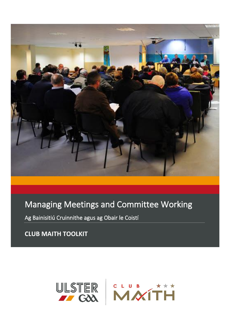

# Managing Meetings and Committee Working

Ag Bainisitiú Cruinnithe agus ag Obair le Coistí

**CLUB MAITH TOOLKIT**

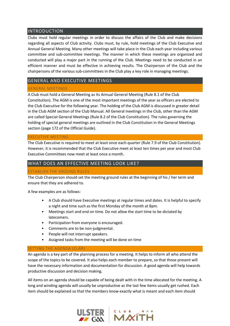## INTRODUCTION

Clubs must hold regular meetings in order to discuss the affairs of the Club and make decisions regarding all aspects of Club activity. Clubs must, by rule, hold meetings of the Club Executive and Annual General Meeting. Many other meetings will take place in the Club each year including various committee and sub-committee meetings. The manner in which these meetings are organized and conducted will play a major part in the running of the Club. Meetings need to be conducted in an efficient manner and must be effective in achieving results. The Chairperson of the Club and the chairpersons of the various sub-committees in the Club play a key role in managing meetings.

## GENERAL AND EXECUTIVE MEETINGS

### GENERAL MEETINGS

A Club must hold a General Meeting as its Annual General Meeting (Rule 8.1 of the Club

Constitution). The AGM is one of the most important meetings of the year as officers are elected to the Club Executive for the following year. The holding of the Club AGM is discussed in greater detail in the Club AGM section of the Club Manual. All General meetings in the Club, other than the AGM are called Special General Meetings (Rule 8.2 of the Club Constitution). The rules governing the holding of special general meetings are outlined in the Club Constitution in the General Meetings section (page 172 of the Official Guide).

#### EXECUTIVE MEETING

The Club Executive is required to meet at least once each quarter (Rule 7.9 of the Club Constitution). However, it is recommended that the Club Executive meet at least ten times per year and most Club Executive Committees now meet at least once a month.

## WHAT DOES AN EFFECTIVE MEETING LOOK LIKE?

#### ESTABLISH THE GROUND RULES

The Club Chairperson should set the meeting ground rules at the beginning of his / her term and ensure that they are adhered to.

A few examples are as follows:

- A Club should have Executive meetings at regular times and dates. It is helpful to specify a night and time such as the first Monday of the month at 8pm.
- Meetings start and end on time. Do not allow the start time to be dictated by latecomers.
- Participation from everyone is encouraged.
- Comments are to be non-judgmental.
- People will not interrupt speakers.
- Assigned tasks from the meeting will be done on time

#### SETTING THE AGENDA (CLÁR)

An agenda is a key part of the planning process for a meeting. It helps to inform all who attend the scope of the topics to be covered. It also helps each member to prepare, so that those present will have the necessary information and documentation for discussion. A good agenda will help towards productive discussion and decision making.

All items on an agenda should be capable of being dealt with in the time allocated for the meeting. A long and winding agenda will usually be unproductive as the last few items usually get rushed. Each item should be explained so that the members know exactly what is meant and each item should